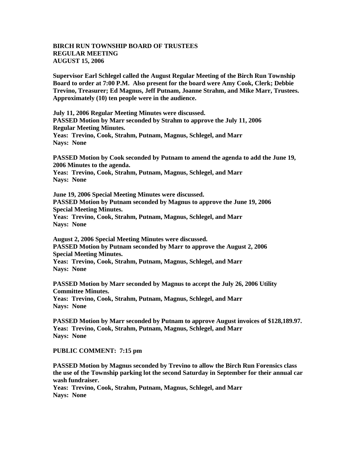## **BIRCH RUN TOWNSHIP BOARD OF TRUSTEES REGULAR MEETING AUGUST 15, 2006**

**Supervisor Earl Schlegel called the August Regular Meeting of the Birch Run Township Board to order at 7:00 P.M. Also present for the board were Amy Cook, Clerk; Debbie Trevino, Treasurer; Ed Magnus, Jeff Putnam, Joanne Strahm, and Mike Marr, Trustees. Approximately (10) ten people were in the audience.** 

**July 11, 2006 Regular Meeting Minutes were discussed. PASSED Motion by Marr seconded by Strahm to approve the July 11, 2006 Regular Meeting Minutes. Yeas: Trevino, Cook, Strahm, Putnam, Magnus, Schlegel, and Marr**

**Nays: None**

**PASSED Motion by Cook seconded by Putnam to amend the agenda to add the June 19, 2006 Minutes to the agenda.** 

**Yeas: Trevino, Cook, Strahm, Putnam, Magnus, Schlegel, and Marr Nays: None**

**June 19, 2006 Special Meeting Minutes were discussed. PASSED Motion by Putnam seconded by Magnus to approve the June 19, 2006 Special Meeting Minutes. Yeas: Trevino, Cook, Strahm, Putnam, Magnus, Schlegel, and Marr Nays: None**

**August 2, 2006 Special Meeting Minutes were discussed. PASSED Motion by Putnam seconded by Marr to approve the August 2, 2006 Special Meeting Minutes. Yeas: Trevino, Cook, Strahm, Putnam, Magnus, Schlegel, and Marr**

**Nays: None**

**PASSED Motion by Marr seconded by Magnus to accept the July 26, 2006 Utility Committee Minutes.**

**Yeas: Trevino, Cook, Strahm, Putnam, Magnus, Schlegel, and Marr Nays: None**

**PASSED Motion by Marr seconded by Putnam to approve August invoices of \$128,189.97. Yeas: Trevino, Cook, Strahm, Putnam, Magnus, Schlegel, and Marr Nays: None**

**PUBLIC COMMENT: 7:15 pm**

**PASSED Motion by Magnus seconded by Trevino to allow the Birch Run Forensics class the use of the Township parking lot the second Saturday in September for their annual car wash fundraiser.**

**Yeas: Trevino, Cook, Strahm, Putnam, Magnus, Schlegel, and Marr Nays: None**